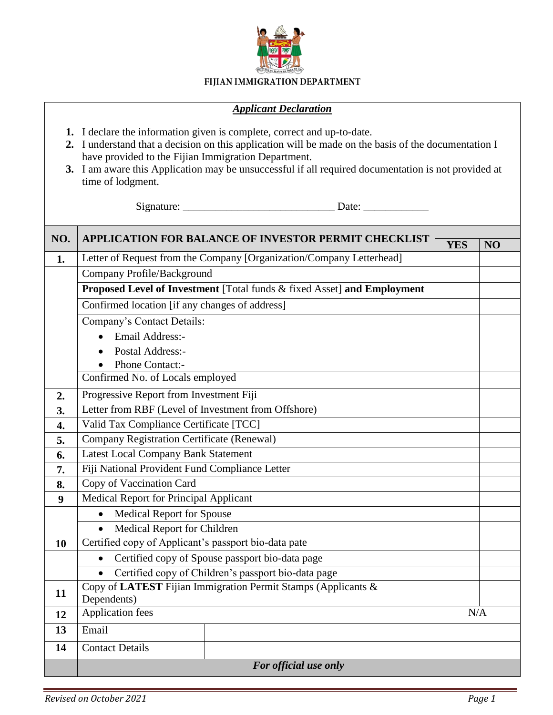

## FIJIAN IMMIGRATION DEPARTMENT

## *Applicant Declaration*

- **1.** I declare the information given is complete, correct and up-to-date.
- **2.** I understand that a decision on this application will be made on the basis of the documentation I have provided to the Fijian Immigration Department.
- **3.** I am aware this Application may be unsuccessful if all required documentation is not provided at time of lodgment.

Signature: \_\_\_\_\_\_\_\_\_\_\_\_\_\_\_\_\_\_\_\_\_\_\_\_\_\_\_\_ Date: \_\_\_\_\_\_\_\_\_\_\_\_

| NO.              | <b>APPLICATION FOR BALANCE OF INVESTOR PERMIT CHECKLIST</b>             |            |     |  |
|------------------|-------------------------------------------------------------------------|------------|-----|--|
|                  | Letter of Request from the Company [Organization/Company Letterhead]    | <b>YES</b> | NO  |  |
| 1.               |                                                                         |            |     |  |
|                  | Company Profile/Background                                              |            |     |  |
|                  | Proposed Level of Investment [Total funds & fixed Asset] and Employment |            |     |  |
|                  | Confirmed location [if any changes of address]                          |            |     |  |
|                  | Company's Contact Details:                                              |            |     |  |
|                  | Email Address:-                                                         |            |     |  |
|                  | Postal Address:-                                                        |            |     |  |
|                  | Phone Contact:-                                                         |            |     |  |
|                  | Confirmed No. of Locals employed                                        |            |     |  |
| 2.               | Progressive Report from Investment Fiji                                 |            |     |  |
| 3.               | Letter from RBF (Level of Investment from Offshore)                     |            |     |  |
| $\overline{4}$ . | Valid Tax Compliance Certificate [TCC]                                  |            |     |  |
| 5.               | Company Registration Certificate (Renewal)                              |            |     |  |
| 6.               | <b>Latest Local Company Bank Statement</b>                              |            |     |  |
| 7.               | Fiji National Provident Fund Compliance Letter                          |            |     |  |
| 8.               | Copy of Vaccination Card                                                |            |     |  |
| 9                | <b>Medical Report for Principal Applicant</b>                           |            |     |  |
|                  | <b>Medical Report for Spouse</b>                                        |            |     |  |
|                  | Medical Report for Children                                             |            |     |  |
| 10               | Certified copy of Applicant's passport bio-data pate                    |            |     |  |
|                  | Certified copy of Spouse passport bio-data page                         |            |     |  |
|                  | Certified copy of Children's passport bio-data page                     |            |     |  |
| 11               | Copy of LATEST Fijian Immigration Permit Stamps (Applicants &           |            |     |  |
|                  | Dependents)                                                             |            |     |  |
| 12               | Application fees                                                        |            | N/A |  |
| 13               | Email                                                                   |            |     |  |
| 14               | <b>Contact Details</b>                                                  |            |     |  |
|                  | For official use only                                                   |            |     |  |